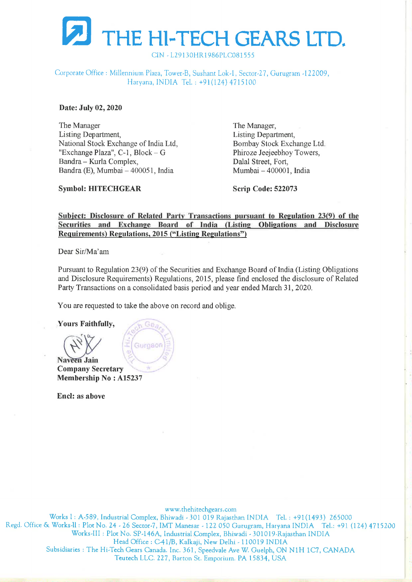

CIN -L29130HR1986PLC081555

Corporate Office : Millennium Plaza, Tower-B, Sushant Lok-1, Sector-27, Gurugram -122009, Haryana, INDIA Tel. : +91(124) 4715100

Date: July 02, 2020

The Manager The Manager, Listing Department, Listing Department, National Stock Exchange of India Ltd, Bombay Stock Exchange Ltd. "Exchange Plaza", C-1, Block – G Phiroze Jeejeebhoy Towers, Bandra – Kurla Complex, Dalal Street, Fort, Bandra (E), Mumbai – 400051, India Mumbai – 400001, India

Symbol: HITECHGEAR Scrip Code: 522073

## Subject: Disclosure of Related Party Transactions pursuant to Regulation 23(9) of the Securities and Exchange Board of India (Listing Obligations and Disclosure Requirements) Regulations, 2015 ("Listing Regulations")

Dear Sir/Ma'am

Pursuant to Regulation 23(9) of the Securities and Exchange Board of India (Listing Obligations and Disclosure Requirements) Regulations, 2015, please find enclosed the disclosure of Related Party Transactions on a consolidated basis period and year ended March 31, 2020.

You are requested to take the above on record and oblige.

Yours Faithfully, Ge. Gurdaor Naveen Jain Company Secretary Membership No : A15237

Encl: as above

 www.thehitechgears.com Works |: A-589, Industrial Complex, Bhiwadi - 301 019 Rajasthan INDIA Tel. : +91(1493) 265000 Regd. Office & Works-Il: Plot No. 24 - 26 Sector-7, IMT Manesar - 122 050 Gurugram, Haryana INDIA Tel.: +91 (124) 4715200 Works-III : Plot No. SP-146A, Industrial Complex, Bhiwadi - 301019-Rajasthan INDIA Head Office : C41/B, Kalkaji, New Delhi - 110019 INDIA Subsidiaries : The Hi-Tech Gears Canada. Inc. 361, Speedvale Ave W. Guelph, ON N1H 1C7, CANADA Teutech LLC. 227, Barton St. Emporium. PA 15834, USA